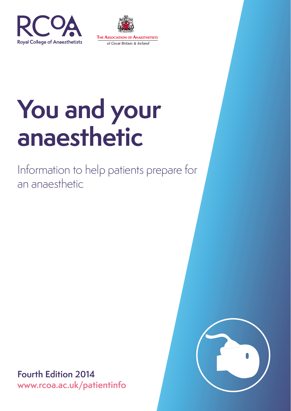



Information to help patients prepare for an anaesthetic



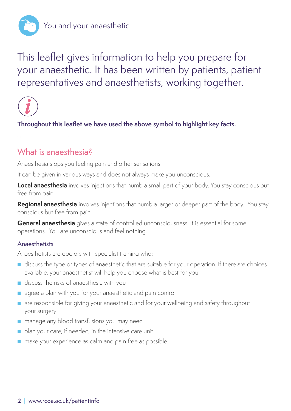

This leaflet gives information to help you prepare for your anaesthetic. It has been written by patients, patient representatives and anaesthetists, working together.



**Throughout this leaflet we have used the above symbol to highlight key facts.**

## What is anaesthesia?

Anaesthesia stops you feeling pain and other sensations.

It can be given in various ways and does not always make you unconscious.

**Local anaesthesia** involves injections that numb a small part of your body. You stay conscious but free from pain.

**Regional anaesthesia** involves injections that numb a larger or deeper part of the body. You stay conscious but free from pain.

**General anaesthesia** gives a state of controlled unconsciousness. It is essential for some operations. You are unconscious and feel nothing.

#### **Anaesthetists**

Anaesthetists are doctors with specialist training who:

- discuss the type or types of anaesthetic that are suitable for your operation. If there are choices available, your anaesthetist will help you choose what is best for you
- discuss the risks of anaesthesia with you
- agree a plan with you for your anaesthetic and pain control
- are responsible for giving your anaesthetic and for your wellbeing and safety throughout your surgery
- manage any blood transfusions you may need
- plan your care, if needed, in the intensive care unit
- make your experience as calm and pain free as possible.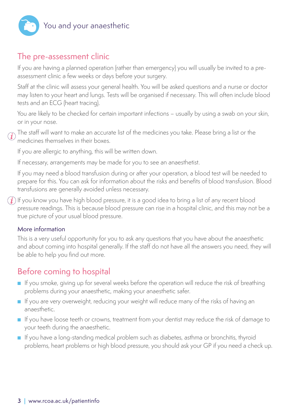

## The pre-assessment clinic

If you are having a planned operation (rather than emergency) you will usually be invited to a preassessment clinic a few weeks or days before your surgery.

Staff at the clinic will assess your general health. You will be asked questions and a nurse or doctor may listen to your heart and lungs. Tests will be organised if necessary. This will often include blood tests and an ECG (heart tracing).

You are likely to be checked for certain important infections – usually by using a swab on your skin, or in your nose.

 $(i)$ 

The staff will want to make an accurate list of the medicines you take. Please bring a list or the medicines themselves in their boxes.

If you are allergic to anything, this will be written down.

If necessary, arrangements may be made for you to see an anaesthetist.

If you may need a blood transfusion during or after your operation, a blood test will be needed to prepare for this. You can ask for information about the risks and benefits of blood transfusion. Blood transfusions are generally avoided unless necessary.

 $\bf (\vec{i})$  If you know you have high blood pressure, it is a good idea to bring a list of any recent blood pressure readings. This is because blood pressure can rise in a hospital clinic, and this may not be a true picture of your usual blood pressure.

#### More information

This is a very useful opportunity for you to ask any questions that you have about the anaesthetic and about coming into hospital generally. If the staff do not have all the answers you need, they will be able to help you find out more.

## Before coming to hospital

- If you smoke, giving up for several weeks before the operation will reduce the risk of breathing problems during your anaesthetic, making your anaesthetic safer.
- If you are very overweight, reducing your weight will reduce many of the risks of having an anaesthetic.
- If you have loose teeth or crowns, treatment from your dentist may reduce the risk of damage to your teeth during the anaesthetic.
- If you have a long-standing medical problem such as diabetes, asthma or bronchitis, thyroid problems, heart problems or high blood pressure, you should ask your GP if you need a check up.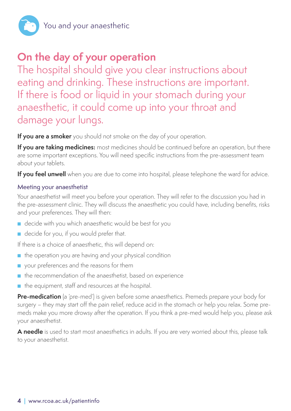

# **On the day of your operation**

The hospital should give you clear instructions about eating and drinking. These instructions are important. If there is food or liquid in your stomach during your anaesthetic, it could come up into your throat and damage your lungs.

**If you are a smoker** you should not smoke on the day of your operation.

**If you are taking medicines:** most medicines should be continued before an operation, but there are some important exceptions. You will need specific instructions from the pre-assessment team about your tablets.

**If you feel unwell** when you are due to come into hospital, please telephone the ward for advice.

#### Meeting your anaesthetist

Your anaesthetist will meet you before your operation. They will refer to the discussion you had in the pre-assessment clinic. They will discuss the anaesthetic you could have, including benefits, risks and your preferences. They will then:

- decide with you which anaesthetic would be best for you
- decide for you, if you would prefer that.

If there is a choice of anaesthetic, this will depend on:

- the operation you are having and your physical condition
- your preferences and the reasons for them
- the recommendation of the anaesthetist, based on experience
- the equipment, staff and resources at the hospital.

**Pre-medication** (a 'pre-med') is given before some anaesthetics. Premeds prepare your body for surgery – they may start off the pain relief, reduce acid in the stomach or help you relax. Some premeds make you more drowsy after the operation. If you think a pre-med would help you, please ask your anaesthetist.

**A needle** is used to start most anaesthetics in adults. If you are very worried about this, please talk to your anaesthetist.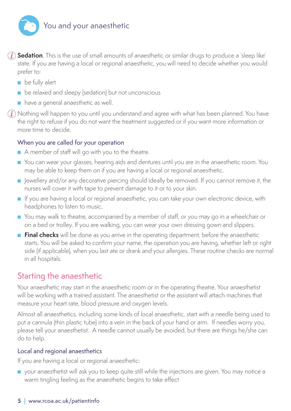

**Sedation**. This is the use of small amounts of anaesthetic or similar drugs to produce a 'sleep like' state. If you are having a local or regional anaesthetic, you will need to decide whether you would prefer to:

- be fully alert
- be relaxed and sleepy (sedation) but not unconscious
- have a general anaesthetic as well.

 $(i)$  Nothing will happen to you until you understand and agree with what has been planned. You have the right to refuse if you do not want the treatment suggested or if you want more information or more time to decide.

#### When you are called for your operation

- A member of staff will go with you to the theatre.
- You can wear your glasses, hearing aids and dentures until you are in the anaesthetic room. You may be able to keep them on if you are having a local or regional anaesthetic.
- Jewellery and/or any decorative piercing should ideally be removed. If you cannot remove it, the nurses will cover it with tape to prevent damage to it or to your skin.
- If you are having a local or regional anaesthetic, you can take your own electronic device, with headphones to listen to music.
- You may walk to theatre, accompanied by a member of staff, or you may go in a wheelchair or on a bed or trolley. If you are walking, you can wear your own dressing gown and slippers.
- **Final checks** will be done as you arrive in the operating department, before the anaesthetic starts. You will be asked to confirm your name, the operation you are having, whether left or right side (if applicable), when you last ate or drank and your allergies. These routine checks are normal in all hospitals.

## Starting the anaesthetic

Your anaesthetic may start in the anaesthetic room or in the operating theatre. Your anaesthetist will be working with a trained assistant. The anaesthetist or the assistant will attach machines that measure your heart rate, blood pressure and oxygen levels.

Almost all anaesthetics, including some kinds of local anaesthetic, start with a needle being used to put a cannula (thin plastic tube) into a vein in the back of your hand or arm. If needles worry you, please tell your anaesthetist. A needle cannot usually be avoided, but there are things he/she can do to help.

#### Local and regional anaesthetics

If you are having a local or regional anaesthetic:

■ your anaesthetist will ask you to keep quite still while the injections are given. You may notice a warm tingling feeling as the anaesthetic begins to take effect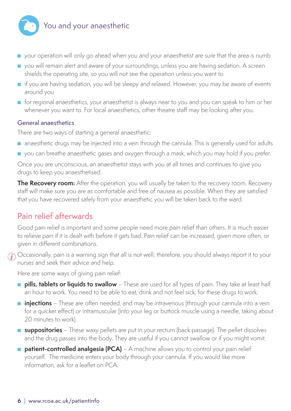

- your operation will only go ahead when you and your anaesthetist are sure that the area is numb
- you will remain alert and aware of your surroundings, unless you are having sedation. A screen shields the operating site, so you will not see the operation unless you want to
- if you are having sedation, you will be sleepy and relaxed. However, you may be aware of events around you
- for regional anaesthetics, your anaesthetist is always near to you and you can speak to him or her whenever you want to. For local anaesthetics, other theatre staff may be looking after you.

#### General anaesthetics

There are two ways of starting a general anaesthetic:

- anaesthetic drugs may be injected into a vein through the cannula. This is generally used for adults
- you can breathe anaesthetic gases and oxygen through a mask, which you may hold if you prefer.

Once you are unconscious, an anaesthetist stays with you at all times and continues to give you drugs to keep you anaesthetised.

**The Recovery room:** After the operation, you will usually be taken to the recovery room. Recovery staff will make sure you are as comfortable and free of nausea as possible. When they are satisfied that you have recovered safely from your anaesthetic you will be taken back to the ward.

## Pain relief afterwards

Good pain relief is important and some people need more pain relief than others. It is much easier to relieve pain if it is dealt with before it gets bad. Pain relief can be increased, given more often, or given in different combinations.

 $\hat{J}$  Occasionally, pain is a warning sign that all is not well; therefore, you should always report it to vour nurses and seek their advice and help.

Here are some ways of giving pain relief:

- **pills, tablets or liquids to swallow**  These are used for all types of pain. They take at least half an hour to work. You need to be able to eat, drink and not feel sick, for these drugs to work.
- **injections** These are often needed, and may be intravenous (through your cannula into a vein for a quicker effect) or intramuscular (into your leg or buttock muscle using a needle, taking about 20 minutes to work).
- **suppositories** These waxy pellets are put in your rectum (back passage). The pellet dissolves and the drug passes into the body. They are useful if you cannot swallow or if you might vomit.
- **patient-controlled analgesia (PCA)**  A machine allows you to control your pain relief yourself. The medicine enters your body through your cannula. If you would like more information, ask for a leaflet on PCA.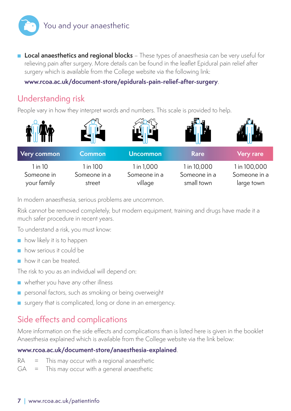

■ **Local anaesthetics and regional blocks** – These types of anaesthesia can be very useful for relieving pain after surgery. More details can be found in the leaflet Epidural pain relief after surgery which is available from the College website via the following link:

**www.rcoa.ac.uk/document-store/epidurals-pain-relief-after-surgery**.

## Understanding risk

People vary in how they interpret words and numbers. This scale is provided to help.



In modern anaesthesia, serious problems are uncommon.

Risk cannot be removed completely, but modern equipment, training and drugs have made it a much safer procedure in recent years.

To understand a risk, you must know:

- how likely it is to happen
- how serious it could be
- how it can be treated.

The risk to you as an individual will depend on:

- whether you have any other illness
- personal factors, such as smoking or being overweight
- surgery that is complicated, long or done in an emergency.

## Side effects and complications

More information on the side effects and complications than is listed here is given in the booklet Anaesthesia explained which is available from the College website via the link below:

#### **www.rcoa.ac.uk/document-store/anaesthesia-explained**.

- $RA =$  This may occur with a regional anaesthetic
- $GA =$  This may occur with a general anaesthetic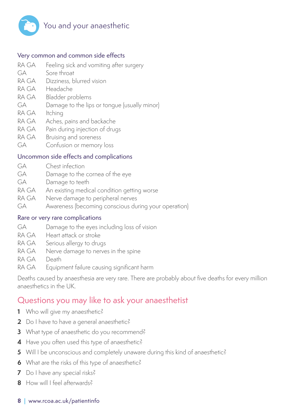

#### Very common and common side effects

- RA GA Feeling sick and vomiting after surgery
- GA Sore throat
- RA GA Dizziness, blurred vision
- RA GA Headache
- RA GA Bladder problems
- GA Damage to the lips or tongue (usually minor)
- RA GA Itching
- RA GA Aches, pains and backache
- RA GA Pain during injection of drugs
- RA GA Bruising and soreness
- GA Confusion or memory loss

#### Uncommon side effects and complications

- GA Chest infection
- GA Damage to the cornea of the eye
- GA Damage to teeth
- RA GA An existing medical condition getting worse
- RA GA Nerve damage to peripheral nerves
- GA Awareness (becoming conscious during your operation)

#### Rare or very rare complications

- GA Damage to the eyes including loss of vision
- RA GA Heart attack or stroke
- RA GA Serious allergy to drugs
- RA GA Nerve damage to nerves in the spine
- RA GA Death
- RA GA Equipment failure causing significant harm

Deaths caused by anaesthesia are very rare. There are probably about five deaths for every million anaesthetics in the UK.

#### Questions you may like to ask your anaesthetist

- **1** Who will give my anaesthetic?
- 2 Do I have to have a general anaesthetic?
- **3** What type of anaesthetic do you recommend?
- **4** Have you often used this type of anaesthetic?
- **5** Will I be unconscious and completely unaware during this kind of anaesthetic?
- **6** What are the risks of this type of anaesthetic?
- **7** Do I have any special risks?
- **8** How will I feel afterwards?

#### **8 |** www.rcoa.ac.uk/patientinfo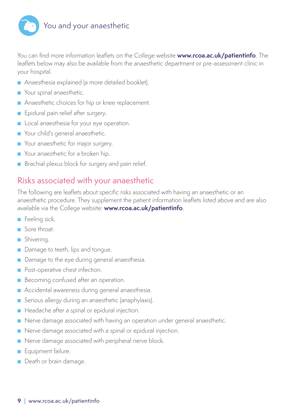

You can find more information leaflets on the College website **www.rcoa.ac.uk/patientinfo**. The leaflets below may also be available from the anaesthetic department or pre-assessment clinic in your hospital.

- Anaesthesia explained (a more detailed booklet).
- Your spinal anaesthetic.
- Anaesthetic choices for hip or knee replacement.
- Epidural pain relief after surgery.
- Local anaesthesia for your eye operation.
- Your child's general anaesthetic.
- Your anaesthetic for major surgery.
- Your anaesthetic for a broken hip.
- Brachial plexus block for surgery and pain relief.

## Risks associated with your anaesthetic

The following are leaflets about specific risks associated with having an anaesthetic or an anaesthetic procedure. They supplement the patient information leaflets listed above and are also available via the College website: **www.rcoa.ac.uk/patientinfo**.

- Feeling sick.
- Sore throat
- Shivering.
- Damage to teeth, lips and tongue.
- Damage to the eye during general anaesthesia.
- Post-operative chest infection.
- Becoming confused after an operation.
- Accidental awareness during general anaesthesia.
- Serious allergy during an anaesthetic (anaphylaxis).
- Headache after a spinal or epidural injection.
- Nerve damage associated with having an operation under general anaesthetic.
- Nerve damage associated with a spinal or epidural injection.
- Nerve damage associated with peripheral nerve block.
- Equipment failure.
- Death or brain damage.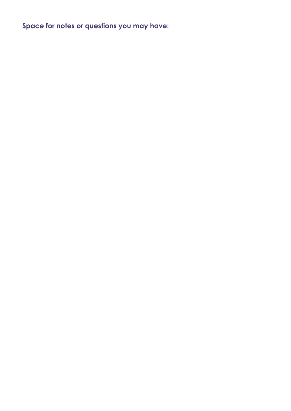**Space for notes or questions you may have:**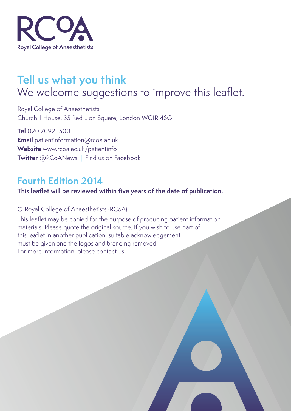

# **Tell us what you think** We welcome suggestions to improve this leaflet.

Royal College of Anaesthetists Churchill House, 35 Red Lion Square, London WC1R 4SG

**Tel** 020 7092 1500 **Email** patientinformation@rcoa.ac.uk **Website** www.rcoa.ac.uk/patientinfo **Twitter** @RCoANews **|** Find us on Facebook

## **Fourth Edition 2014**

**This leaflet will be reviewed within five years of the date of publication.**

© Royal College of Anaesthetists (RCoA)

This leaflet may be copied for the purpose of producing patient information materials. Please quote the original source. If you wish to use part of this leaflet in another publication, suitable acknowledgement must be given and the logos and branding removed. For more information, please contact us.